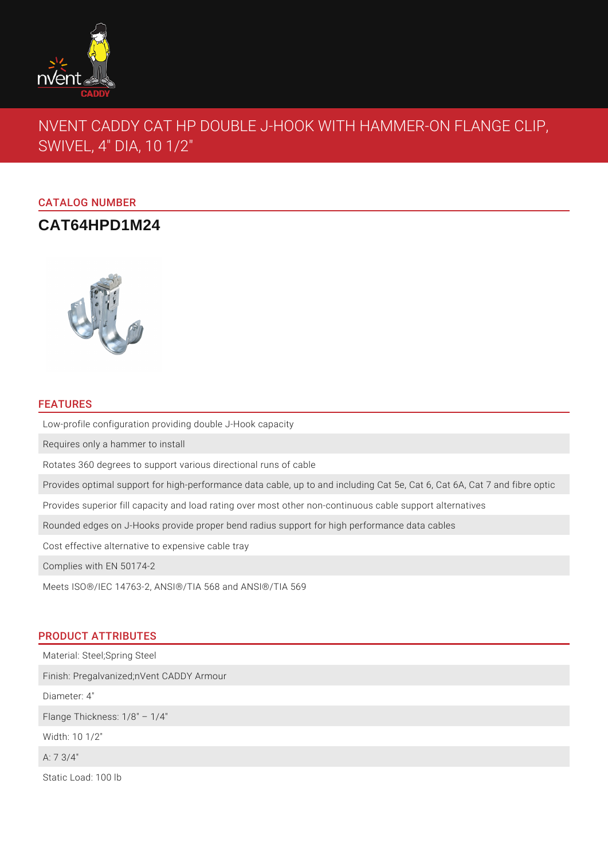

# NVENT CADDY CAT HP DOUBLE J-HOOK WITH HAMMER-ON FLANGE CLIP, SWIVEL, 4" DIA, 10 1/2"

## CATALOG NUMBER

# **CAT64HPD1M24**



## FEATURES

Low-profile configuration providing double J-Hook capacity

Requires only a hammer to install

Rotates 360 degrees to support various directional runs of cable

Provides optimal support for high-performance data cable, up to and including Cat 5e, Cat 6, Cat 6A, Cat 7 and fibre optic

Provides superior fill capacity and load rating over most other non-continuous cable support alternatives

Rounded edges on J-Hooks provide proper bend radius support for high performance data cables

Cost effective alternative to expensive cable tray

Complies with EN 50174-2

Meets ISO®/IEC 14763-2, ANSI®/TIA 568 and ANSI®/TIA 569

## PRODUCT ATTRIBUTES

Material: Steel;Spring Steel Finish: Pregalvanized;nVent CADDY Armour Diameter: 4" Flange Thickness: 1/8" – 1/4" Width: 10 1/2"

A: 7 3/4"

Static Load: 100 lb